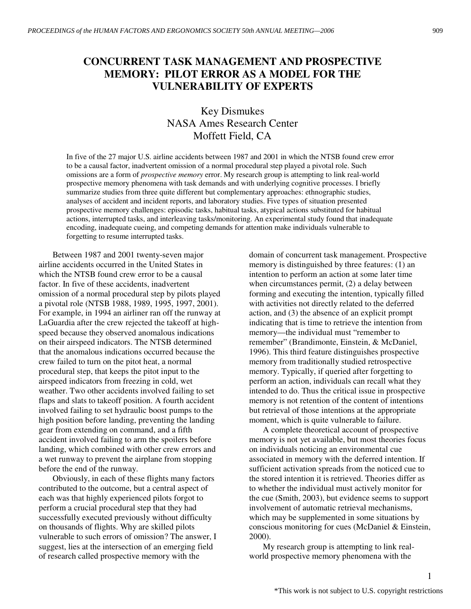# **CONCURRENT TASK MANAGEMENT AND PROSPECTIVE MEMORY: PILOT ERROR AS A MODEL FOR THE VULNERABILITY OF EXPERTS**

## Key Dismukes NASA Ames Research Center Moffett Field, CA

In five of the 27 major U.S. airline accidents between 1987 and 2001 in which the NTSB found crew error to be a causal factor, inadvertent omission of a normal procedural step played a pivotal role. Such omissions are a form of *prospective memory* error. My research group is attempting to link real-world prospective memory phenomena with task demands and with underlying cognitive processes. I briefly summarize studies from three quite different but complementary approaches: ethnographic studies, analyses of accident and incident reports, and laboratory studies. Five types of situation presented prospective memory challenges: episodic tasks, habitual tasks, atypical actions substituted for habitual actions, interrupted tasks, and interleaving tasks/monitoring. An experimental study found that inadequate encoding, inadequate cueing, and competing demands for attention make individuals vulnerable to forgetting to resume interrupted tasks.

Between 1987 and 2001 twenty-seven major airline accidents occurred in the United States in which the NTSB found crew error to be a causal factor. In five of these accidents, inadvertent omission of a normal procedural step by pilots played a pivotal role (NTSB 1988, 1989, 1995, 1997, 2001). For example, in 1994 an airliner ran off the runway at LaGuardia after the crew rejected the takeoff at highspeed because they observed anomalous indications on their airspeed indicators. The NTSB determined that the anomalous indications occurred because the crew failed to turn on the pitot heat, a normal procedural step, that keeps the pitot input to the airspeed indicators from freezing in cold, wet weather. Two other accidents involved failing to set flaps and slats to takeoff position. A fourth accident involved failing to set hydraulic boost pumps to the high position before landing, preventing the landing gear from extending on command, and a fifth accident involved failing to arm the spoilers before landing, which combined with other crew errors and a wet runway to prevent the airplane from stopping before the end of the runway.

Obviously, in each of these flights many factors contributed to the outcome, but a central aspect of each was that highly experienced pilots forgot to perform a crucial procedural step that they had successfully executed previously without difficulty on thousands of flights. Why are skilled pilots vulnerable to such errors of omission? The answer, I suggest, lies at the intersection of an emerging field of research called prospective memory with the

domain of concurrent task management. Prospective memory is distinguished by three features: (1) an intention to perform an action at some later time when circumstances permit, (2) a delay between forming and executing the intention, typically filled with activities not directly related to the deferred action, and (3) the absence of an explicit prompt indicating that is time to retrieve the intention from memory—the individual must "remember to remember" (Brandimonte, Einstein, & McDaniel, 1996). This third feature distinguishes prospective memory from traditionally studied retrospective memory. Typically, if queried after forgetting to perform an action, individuals can recall what they intended to do. Thus the critical issue in prospective memory is not retention of the content of intentions but retrieval of those intentions at the appropriate moment, which is quite vulnerable to failure.

A complete theoretical account of prospective memory is not yet available, but most theories focus on individuals noticing an environmental cue associated in memory with the deferred intention. If sufficient activation spreads from the noticed cue to the stored intention it is retrieved. Theories differ as to whether the individual must actively monitor for the cue (Smith, 2003), but evidence seems to support involvement of automatic retrieval mechanisms, which may be supplemented in some situations by conscious monitoring for cues (McDaniel & Einstein, 2000).

My research group is attempting to link realworld prospective memory phenomena with the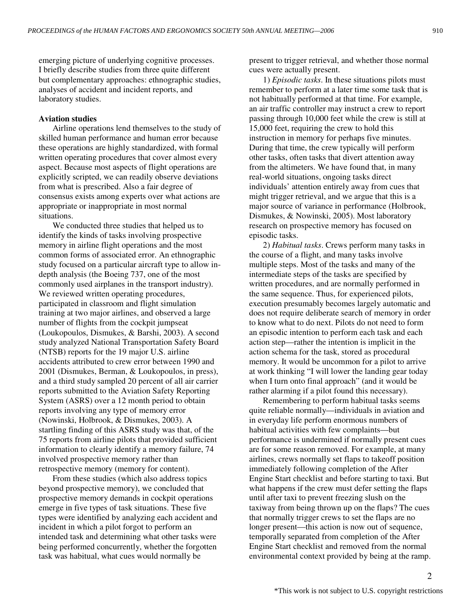emerging picture of underlying cognitive processes. I briefly describe studies from three quite different but complementary approaches: ethnographic studies, analyses of accident and incident reports, and laboratory studies.

### **Aviation studies**

Airline operations lend themselves to the study of skilled human performance and human error because these operations are highly standardized, with formal written operating procedures that cover almost every aspect. Because most aspects of flight operations are explicitly scripted, we can readily observe deviations from what is prescribed. Also a fair degree of consensus exists among experts over what actions are appropriate or inappropriate in most normal situations.

We conducted three studies that helped us to identify the kinds of tasks involving prospective memory in airline flight operations and the most common forms of associated error. An ethnographic study focused on a particular aircraft type to allow indepth analysis (the Boeing 737, one of the most commonly used airplanes in the transport industry). We reviewed written operating procedures, participated in classroom and flight simulation training at two major airlines, and observed a large number of flights from the cockpit jumpseat (Loukopoulos, Dismukes, & Barshi, 2003). A second study analyzed National Transportation Safety Board (NTSB) reports for the 19 major U.S. airline accidents attributed to crew error between 1990 and 2001 (Dismukes, Berman, & Loukopoulos, in press), and a third study sampled 20 percent of all air carrier reports submitted to the Aviation Safety Reporting System (ASRS) over a 12 month period to obtain reports involving any type of memory error (Nowinski, Holbrook, & Dismukes, 2003). A startling finding of this ASRS study was that, of the 75 reports from airline pilots that provided sufficient information to clearly identify a memory failure, 74 involved prospective memory rather than retrospective memory (memory for content).

From these studies (which also address topics beyond prospective memory), we concluded that prospective memory demands in cockpit operations emerge in five types of task situations. These five types were identified by analyzing each accident and incident in which a pilot forgot to perform an intended task and determining what other tasks were being performed concurrently, whether the forgotten task was habitual, what cues would normally be

present to trigger retrieval, and whether those normal cues were actually present.

1) *Episodic tasks*. In these situations pilots must remember to perform at a later time some task that is not habitually performed at that time. For example, an air traffic controller may instruct a crew to report passing through 10,000 feet while the crew is still at 15,000 feet, requiring the crew to hold this instruction in memory for perhaps five minutes. During that time, the crew typically will perform other tasks, often tasks that divert attention away from the altimeters. We have found that, in many real-world situations, ongoing tasks direct individuals' attention entirely away from cues that might trigger retrieval, and we argue that this is a major source of variance in performance (Holbrook, Dismukes, & Nowinski, 2005). Most laboratory research on prospective memory has focused on episodic tasks.

2) *Habitual tasks*. Crews perform many tasks in the course of a flight, and many tasks involve multiple steps. Most of the tasks and many of the intermediate steps of the tasks are specified by written procedures, and are normally performed in the same sequence. Thus, for experienced pilots, execution presumably becomes largely automatic and does not require deliberate search of memory in order to know what to do next. Pilots do not need to form an episodic intention to perform each task and each action step—rather the intention is implicit in the action schema for the task, stored as procedural memory. It would be uncommon for a pilot to arrive at work thinking "I will lower the landing gear today when I turn onto final approach" (and it would be rather alarming if a pilot found this necessary).

Remembering to perform habitual tasks seems quite reliable normally—individuals in aviation and in everyday life perform enormous numbers of habitual activities with few complaints—but performance is undermined if normally present cues are for some reason removed. For example, at many airlines, crews normally set flaps to takeoff position immediately following completion of the After Engine Start checklist and before starting to taxi. But what happens if the crew must defer setting the flaps until after taxi to prevent freezing slush on the taxiway from being thrown up on the flaps? The cues that normally trigger crews to set the flaps are no longer present—this action is now out of sequence, temporally separated from completion of the After Engine Start checklist and removed from the normal environmental context provided by being at the ramp.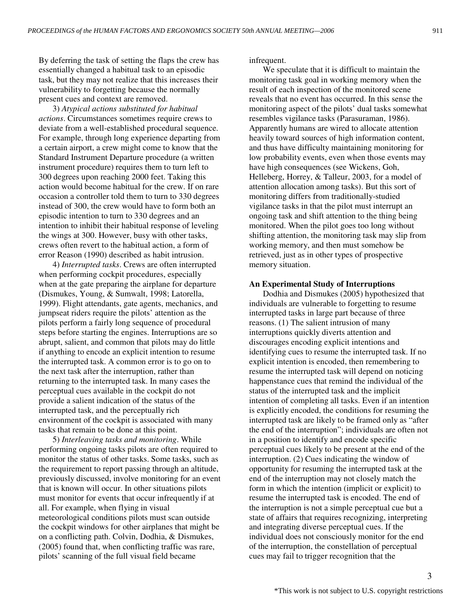By deferring the task of setting the flaps the crew has essentially changed a habitual task to an episodic task, but they may not realize that this increases their vulnerability to forgetting because the normally present cues and context are removed.

3) *Atypical actions substituted for habitual actions*. Circumstances sometimes require crews to deviate from a well-established procedural sequence. For example, through long experience departing from a certain airport, a crew might come to know that the Standard Instrument Departure procedure (a written instrument procedure) requires them to turn left to 300 degrees upon reaching 2000 feet. Taking this action would become habitual for the crew. If on rare occasion a controller told them to turn to 330 degrees instead of 300, the crew would have to form both an episodic intention to turn to 330 degrees and an intention to inhibit their habitual response of leveling the wings at 300. However, busy with other tasks, crews often revert to the habitual action, a form of error Reason (1990) described as habit intrusion.

4) *Interrupted tasks*. Crews are often interrupted when performing cockpit procedures, especially when at the gate preparing the airplane for departure (Dismukes, Young, & Sumwalt, 1998; Latorella, 1999). Flight attendants, gate agents, mechanics, and jumpseat riders require the pilots' attention as the pilots perform a fairly long sequence of procedural steps before starting the engines. Interruptions are so abrupt, salient, and common that pilots may do little if anything to encode an explicit intention to resume the interrupted task. A common error is to go on to the next task after the interruption, rather than returning to the interrupted task. In many cases the perceptual cues available in the cockpit do not provide a salient indication of the status of the interrupted task, and the perceptually rich environment of the cockpit is associated with many tasks that remain to be done at this point.

5) *Interleaving tasks and monitoring*. While performing ongoing tasks pilots are often required to monitor the status of other tasks. Some tasks, such as the requirement to report passing through an altitude, previously discussed, involve monitoring for an event that is known will occur. In other situations pilots must monitor for events that occur infrequently if at all. For example, when flying in visual meteorological conditions pilots must scan outside the cockpit windows for other airplanes that might be on a conflicting path. Colvin, Dodhia, & Dismukes, (2005) found that, when conflicting traffic was rare, pilots' scanning of the full visual field became

infrequent.

We speculate that it is difficult to maintain the monitoring task goal in working memory when the result of each inspection of the monitored scene reveals that no event has occurred. In this sense the monitoring aspect of the pilots' dual tasks somewhat resembles vigilance tasks (Parasuraman, 1986). Apparently humans are wired to allocate attention heavily toward sources of high information content, and thus have difficulty maintaining monitoring for low probability events, even when those events may have high consequences (see Wickens, Goh, Helleberg, Horrey, & Talleur, 2003, for a model of attention allocation among tasks). But this sort of monitoring differs from traditionally-studied vigilance tasks in that the pilot must interrupt an ongoing task and shift attention to the thing being monitored. When the pilot goes too long without shifting attention, the monitoring task may slip from working memory, and then must somehow be retrieved, just as in other types of prospective memory situation.

#### **An Experimental Study of Interruptions**

Dodhia and Dismukes (2005) hypothesized that individuals are vulnerable to forgetting to resume interrupted tasks in large part because of three reasons. (1) The salient intrusion of many interruptions quickly diverts attention and discourages encoding explicit intentions and identifying cues to resume the interrupted task. If no explicit intention is encoded, then remembering to resume the interrupted task will depend on noticing happenstance cues that remind the individual of the status of the interrupted task and the implicit intention of completing all tasks. Even if an intention is explicitly encoded, the conditions for resuming the interrupted task are likely to be framed only as "after the end of the interruption"; individuals are often not in a position to identify and encode specific perceptual cues likely to be present at the end of the interruption. (2) Cues indicating the window of opportunity for resuming the interrupted task at the end of the interruption may not closely match the form in which the intention (implicit or explicit) to resume the interrupted task is encoded. The end of the interruption is not a simple perceptual cue but a state of affairs that requires recognizing, interpreting and integrating diverse perceptual cues. If the individual does not consciously monitor for the end of the interruption, the constellation of perceptual cues may fail to trigger recognition that the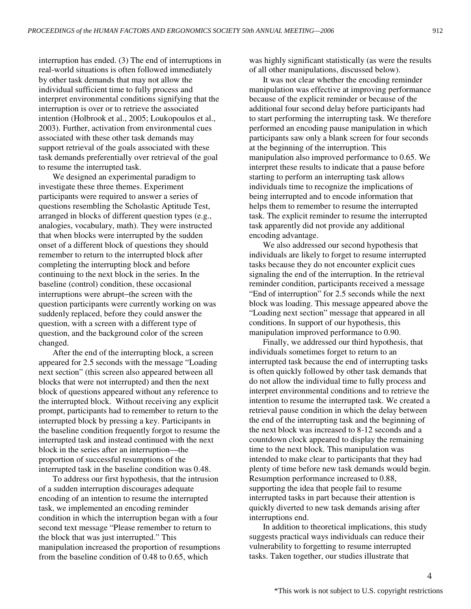interruption has ended. (3) The end of interruptions in real-world situations is often followed immediately by other task demands that may not allow the individual sufficient time to fully process and interpret environmental conditions signifying that the interruption is over or to retrieve the associated intention (Holbrook et al., 2005; Loukopoulos et al., 2003). Further, activation from environmental cues associated with these other task demands may support retrieval of the goals associated with these task demands preferentially over retrieval of the goal to resume the interrupted task.

We designed an experimental paradigm to investigate these three themes. Experiment participants were required to answer a series of questions resembling the Scholastic Aptitude Test, arranged in blocks of different question types (e.g., analogies, vocabulary, math). They were instructed that when blocks were interrupted by the sudden onset of a different block of questions they should remember to return to the interrupted block after completing the interrupting block and before continuing to the next block in the series. In the baseline (control) condition, these occasional interruptions were abrupt−the screen with the question participants were currently working on was suddenly replaced, before they could answer the question, with a screen with a different type of question, and the background color of the screen changed.

After the end of the interrupting block, a screen appeared for 2.5 seconds with the message "Loading next section" (this screen also appeared between all blocks that were not interrupted) and then the next block of questions appeared without any reference to the interrupted block. Without receiving any explicit prompt, participants had to remember to return to the interrupted block by pressing a key. Participants in the baseline condition frequently forgot to resume the interrupted task and instead continued with the next block in the series after an interruption—the proportion of successful resumptions of the interrupted task in the baseline condition was 0.48.

To address our first hypothesis, that the intrusion of a sudden interruption discourages adequate encoding of an intention to resume the interrupted task, we implemented an encoding reminder condition in which the interruption began with a four second text message "Please remember to return to the block that was just interrupted." This manipulation increased the proportion of resumptions from the baseline condition of 0.48 to 0.65, which

was highly significant statistically (as were the results of all other manipulations, discussed below).

It was not clear whether the encoding reminder manipulation was effective at improving performance because of the explicit reminder or because of the additional four second delay before participants had to start performing the interrupting task. We therefore performed an encoding pause manipulation in which participants saw only a blank screen for four seconds at the beginning of the interruption. This manipulation also improved performance to 0.65. We interpret these results to indicate that a pause before starting to perform an interrupting task allows individuals time to recognize the implications of being interrupted and to encode information that helps them to remember to resume the interrupted task. The explicit reminder to resume the interrupted task apparently did not provide any additional encoding advantage.

We also addressed our second hypothesis that individuals are likely to forget to resume interrupted tasks because they do not encounter explicit cues signaling the end of the interruption. In the retrieval reminder condition, participants received a message "End of interruption" for 2.5 seconds while the next block was loading. This message appeared above the "Loading next section" message that appeared in all conditions. In support of our hypothesis, this manipulation improved performance to 0.90.

Finally, we addressed our third hypothesis, that individuals sometimes forget to return to an interrupted task because the end of interrupting tasks is often quickly followed by other task demands that do not allow the individual time to fully process and interpret environmental conditions and to retrieve the intention to resume the interrupted task. We created a retrieval pause condition in which the delay between the end of the interrupting task and the beginning of the next block was increased to 8-12 seconds and a countdown clock appeared to display the remaining time to the next block. This manipulation was intended to make clear to participants that they had plenty of time before new task demands would begin. Resumption performance increased to 0.88, supporting the idea that people fail to resume interrupted tasks in part because their attention is quickly diverted to new task demands arising after interruptions end.

In addition to theoretical implications, this study suggests practical ways individuals can reduce their vulnerability to forgetting to resume interrupted tasks. Taken together, our studies illustrate that